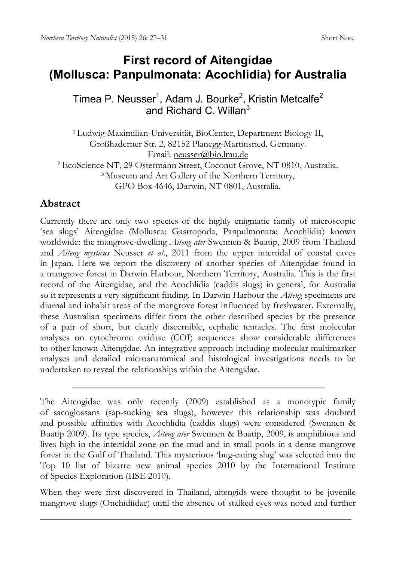## **First record of Aitengidae (Mollusca: Panpulmonata: Acochlidia) for Australia**

Timea P. Neusser<sup>1</sup>, Adam J. Bourke<sup>2</sup>, Kristin Metcalfe<sup>2</sup> and Richard C. Willan<sup>3</sup>

<sup>1</sup> Ludwig-Maximilian-Universität, BioCenter, Department Biology II, Großhaderner Str. 2, 82152 Planegg-Martinsried, Germany. Email: [neusser@bio.lmu.de](mailto:neusser@bio.lmu.de)

<sup>2</sup> EcoScience NT, 29 Ostermann Street, Coconut Grove, NT 0810, Australia. <sup>3</sup> Museum and Art Gallery of the Northern Territory, GPO Box 4646, Darwin, NT 0801, Australia.

## **Abstract**

Currently there are only two species of the highly enigmatic family of microscopic 'sea slugs' Aitengidae (Mollusca: Gastropoda, Panpulmonata: Acochlidia) known worldwide: the mangrove-dwelling *Aiteng ater* Swennen & Buatip, 2009 from Thailand and *Aiteng mysticus* Neusser *et al*., 2011 from the upper intertidal of coastal caves in Japan. Here we report the discovery of another species of Aitengidae found in a mangrove forest in Darwin Harbour, Northern Territory, Australia. This is the first record of the Aitengidae, and the Acochlidia (caddis slugs) in general, for Australia so it represents a very significant finding. In Darwin Harbour the *Aiteng* specimens are diurnal and inhabit areas of the mangrove forest influenced by freshwater. Externally, these Australian specimens differ from the other described species by the presence of a pair of short, but clearly discernible, cephalic tentacles. The first molecular analyses on cytochrome oxidase (COI) sequences show considerable differences to other known Aitengidae. An integrative approach including molecular multimarker analyses and detailed microanatomical and histological investigations needs to be undertaken to reveal the relationships within the Aitengidae.

When they were first discovered in Thailand, aitengids were thought to be juvenile mangrove slugs (Onchidiidae) until the absence of stalked eyes was noted and further

The Aitengidae was only recently (2009) established as a monotypic family of sacoglossans (sap-sucking sea slugs), however this relationship was doubted and possible affinities with Acochlidia (caddis slugs) were considered (Swennen & Buatip 2009). Its type species, *Aiteng ater* Swennen & Buatip, 2009, is amphibious and lives high in the intertidal zone on the mud and in small pools in a dense mangrove forest in the Gulf of Thailand. This mysterious 'bug-eating slug' was selected into the Top 10 list of bizarre new animal species 2010 by the International Institute of Species Exploration (IISE 2010).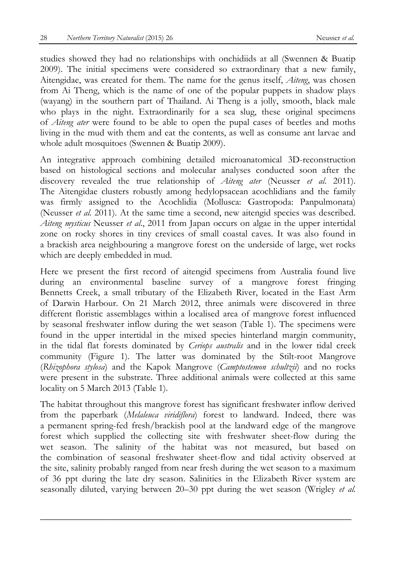studies showed they had no relationships with onchidiids at all (Swennen & Buatip 2009). The initial specimens were considered so extraordinary that a new family, Aitengidae, was created for them. The name for the genus itself, *Aiteng*, was chosen from Ai Theng, which is the name of one of the popular puppets in shadow plays (wayang) in the southern part of Thailand. Ai Theng is a jolly, smooth, black male who plays in the night. Extraordinarily for a sea slug, these original specimens of *Aiteng ater* were found to be able to open the pupal cases of beetles and moths living in the mud with them and eat the contents, as well as consume ant larvae and whole adult mosquitoes (Swennen & Buatip 2009).

An integrative approach combining detailed microanatomical 3D-reconstruction based on histological sections and molecular analyses conducted soon after the discovery revealed the true relationship of *Aiteng ater* (Neusser *et al*. 2011). The Aitengidae clusters robustly among hedylopsacean acochlidians and the family was firmly assigned to the Acochlidia (Mollusca: Gastropoda: Panpulmonata) (Neusser *et al*. 2011). At the same time a second, new aitengid species was described. *Aiteng mysticus* Neusser *et al*., 2011 from Japan occurs on algae in the upper intertidal zone on rocky shores in tiny crevices of small coastal caves. It was also found in a brackish area neighbouring a mangrove forest on the underside of large, wet rocks which are deeply embedded in mud.

Here we present the first record of aitengid specimens from Australia found live during an environmental baseline survey of a mangrove forest fringing Bennetts Creek, a small tributary of the Elizabeth River, located in the East Arm of Darwin Harbour. On 21 March 2012, three animals were discovered in three different floristic assemblages within a localised area of mangrove forest influenced by seasonal freshwater inflow during the wet season (Table 1). The specimens were found in the upper intertidal in the mixed species hinterland margin community, in the tidal flat forests dominated by *Ceriops australis* and in the lower tidal creek community (Figure 1). The latter was dominated by the Stilt-root Mangrove (*Rhizophora stylosa*) and the Kapok Mangrove (*Camptostemon schultzii*) and no rocks were present in the substrate. Three additional animals were collected at this same locality on 5 March 2013 (Table 1).

The habitat throughout this mangrove forest has significant freshwater inflow derived from the paperbark (*Melaleuca viridiflora*) forest to landward. Indeed, there was a permanent spring-fed fresh/brackish pool at the landward edge of the mangrove forest which supplied the collecting site with freshwater sheet-flow during the wet season. The salinity of the habitat was not measured, but based on the combination of seasonal freshwater sheet-flow and tidal activity observed at the site, salinity probably ranged from near fresh during the wet season to a maximum of 36 ppt during the late dry season. Salinities in the Elizabeth River system are seasonally diluted, varying between 20–30 ppt during the wet season (Wrigley *et al.*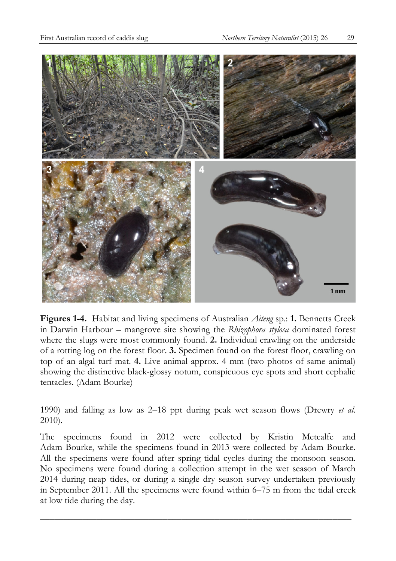

**Figures 1-4.** Habitat and living specimens of Australian *Aiteng* sp.: **1.** Bennetts Creek in Darwin Harbour – mangrove site showing the *Rhizophora stylosa* dominated forest where the slugs were most commonly found. **2.** Individual crawling on the underside of a rotting log on the forest floor. **3.** Specimen found on the forest floor, crawling on top of an algal turf mat. **4.** Live animal approx. 4 mm (two photos of same animal) showing the distinctive black-glossy notum, conspicuous eye spots and short cephalic tentacles. (Adam Bourke)

1990) and falling as low as 2–18 ppt during peak wet season flows (Drewry *et al.* 2010).

The specimens found in 2012 were collected by Kristin Metcalfe and Adam Bourke, while the specimens found in 2013 were collected by Adam Bourke. All the specimens were found after spring tidal cycles during the monsoon season. No specimens were found during a collection attempt in the wet season of March 2014 during neap tides, or during a single dry season survey undertaken previously in September 2011. All the specimens were found within 6–75 m from the tidal creek at low tide during the day.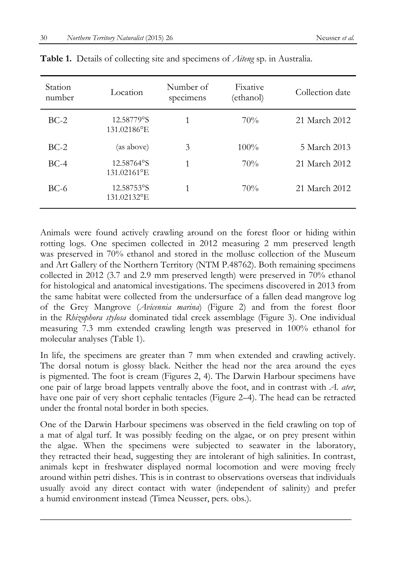| Station<br>number | Location                  | Number of<br>specimens | Fixative<br>(ethanol) | Collection date |
|-------------------|---------------------------|------------------------|-----------------------|-----------------|
| $BC-2$            | 12.58779°S<br>131.02186°E |                        | 70%                   | 21 March 2012   |
| $BC-2$            | (as above)                | 3                      | $100\%$               | 5 March 2013    |
| $BC-4$            | 12.58764°S<br>131.02161°E | 1                      | 70%                   | 21 March 2012   |
| $BC-6$            | 12.58753°S<br>131.02132°E |                        | 70%                   | 21 March 2012   |

**Table 1.** Details of collecting site and specimens of *Aiteng* sp. in Australia.

Animals were found actively crawling around on the forest floor or hiding within rotting logs. One specimen collected in 2012 measuring 2 mm preserved length was preserved in 70% ethanol and stored in the mollusc collection of the Museum and Art Gallery of the Northern Territory (NTM P.48762). Both remaining specimens collected in 2012 (3.7 and 2.9 mm preserved length) were preserved in 70% ethanol for histological and anatomical investigations. The specimens discovered in 2013 from the same habitat were collected from the undersurface of a fallen dead mangrove log of the Grey Mangrove (*Avicennia marina*) (Figure 2) and from the forest floor in the *Rhizophora stylosa* dominated tidal creek assemblage (Figure 3). One individual measuring 7.3 mm extended crawling length was preserved in 100% ethanol for molecular analyses (Table 1).

In life, the specimens are greater than 7 mm when extended and crawling actively. The dorsal notum is glossy black. Neither the head nor the area around the eyes is pigmented. The foot is cream (Figures 2, 4). The Darwin Harbour specimens have one pair of large broad lappets ventrally above the foot, and in contrast with *A. ater*, have one pair of very short cephalic tentacles (Figure 2–4). The head can be retracted under the frontal notal border in both species.

One of the Darwin Harbour specimens was observed in the field crawling on top of a mat of algal turf. It was possibly feeding on the algae, or on prey present within the algae. When the specimens were subjected to seawater in the laboratory, they retracted their head, suggesting they are intolerant of high salinities. In contrast, animals kept in freshwater displayed normal locomotion and were moving freely around within petri dishes. This is in contrast to observations overseas that individuals usually avoid any direct contact with water (independent of salinity) and prefer a humid environment instead (Timea Neusser, pers. obs.).